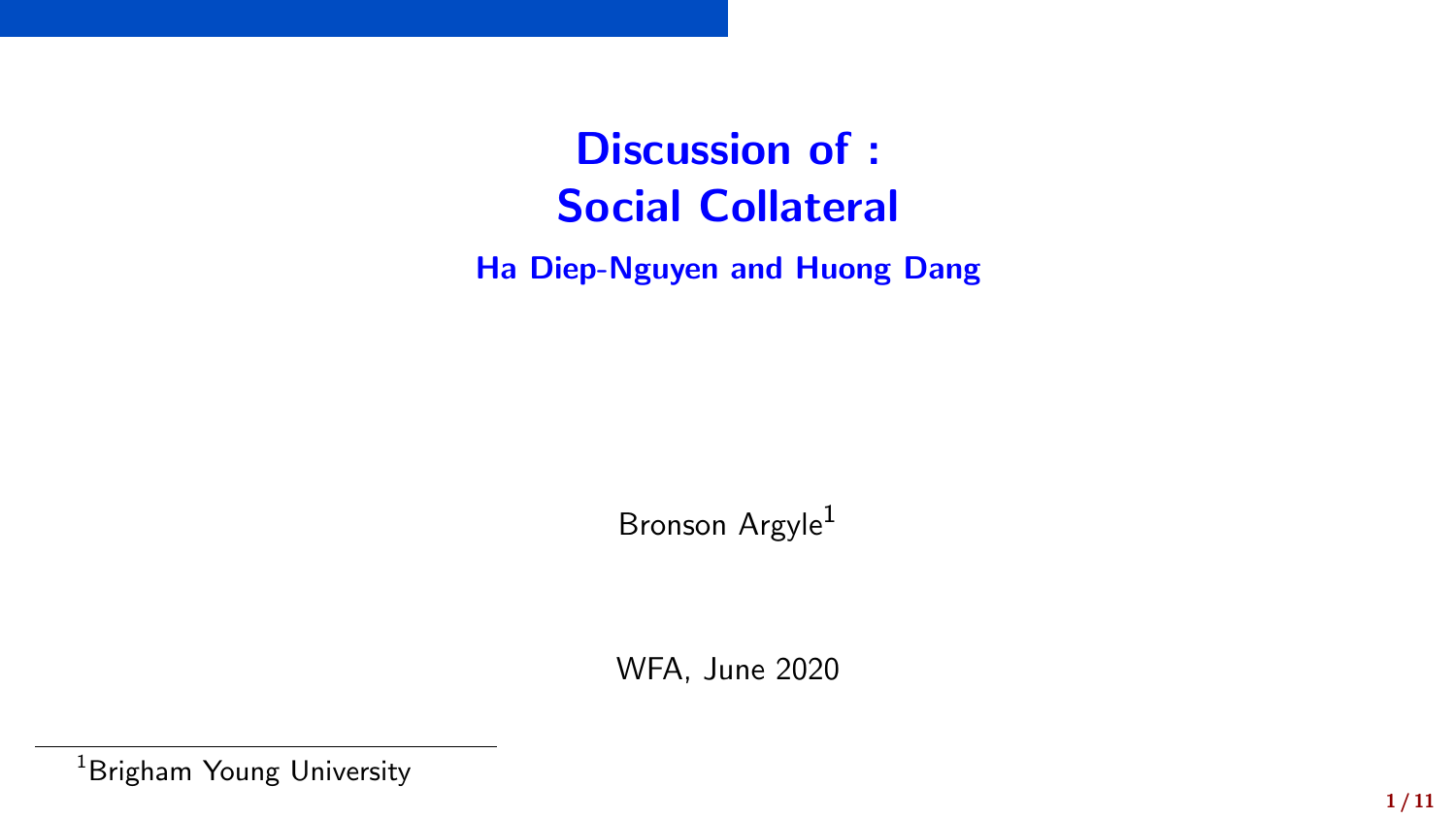Discussion of : Social Collateral

Ha Diep-Nguyen and Huong Dang

Bronson Argyle<sup>1</sup>

WFA, June 2020

<sup>1</sup>Brigham Young University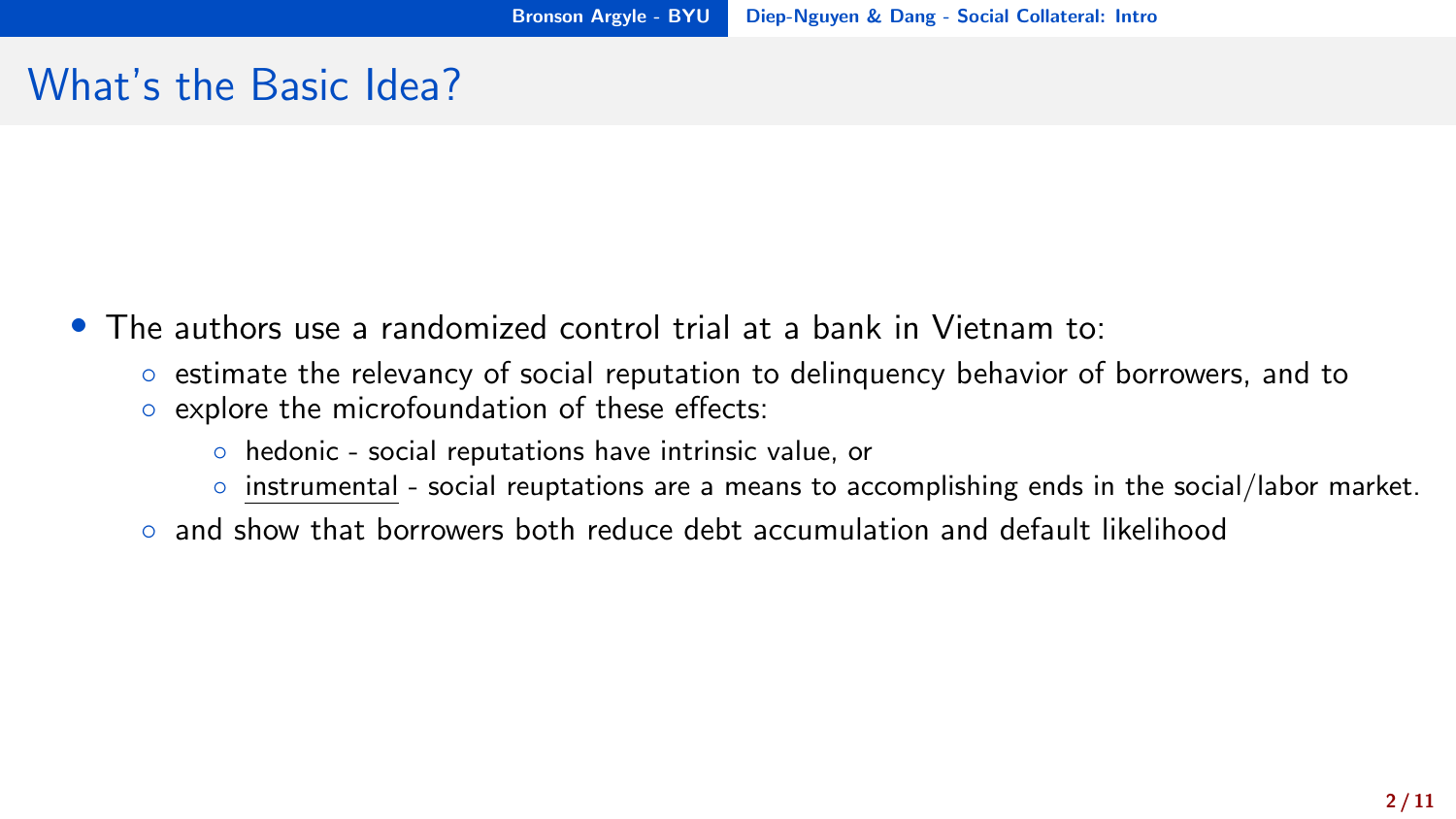### <span id="page-1-0"></span>What's the Basic Idea?

- The authors use a randomized control trial at a bank in Vietnam to:
	- estimate the relevancy of social reputation to delinquency behavior of borrowers, and to
	- explore the microfoundation of these effects:
		- hedonic social reputations have intrinsic value, or
		- instrumental social reuptations are a means to accomplishing ends in the social/labor market.
	- and show that borrowers both reduce debt accumulation and default likelihood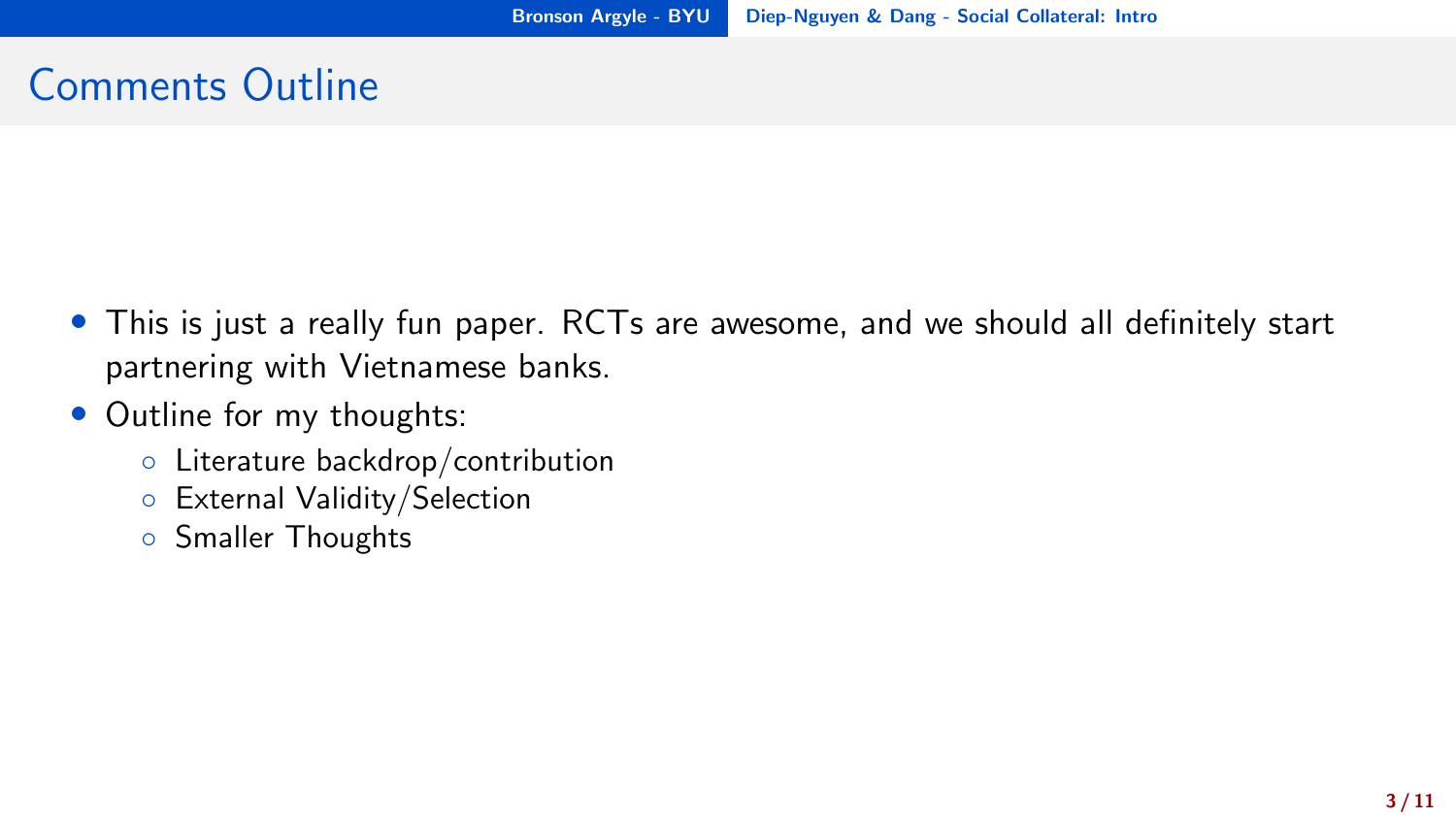# Comments Outline

- This is just a really fun paper. RCTs are awesome, and we should all definitely start partnering with Vietnamese banks.
- Outline for my thoughts:
	- Literature backdrop/contribution
	- External Validity/Selection
	- Smaller Thoughts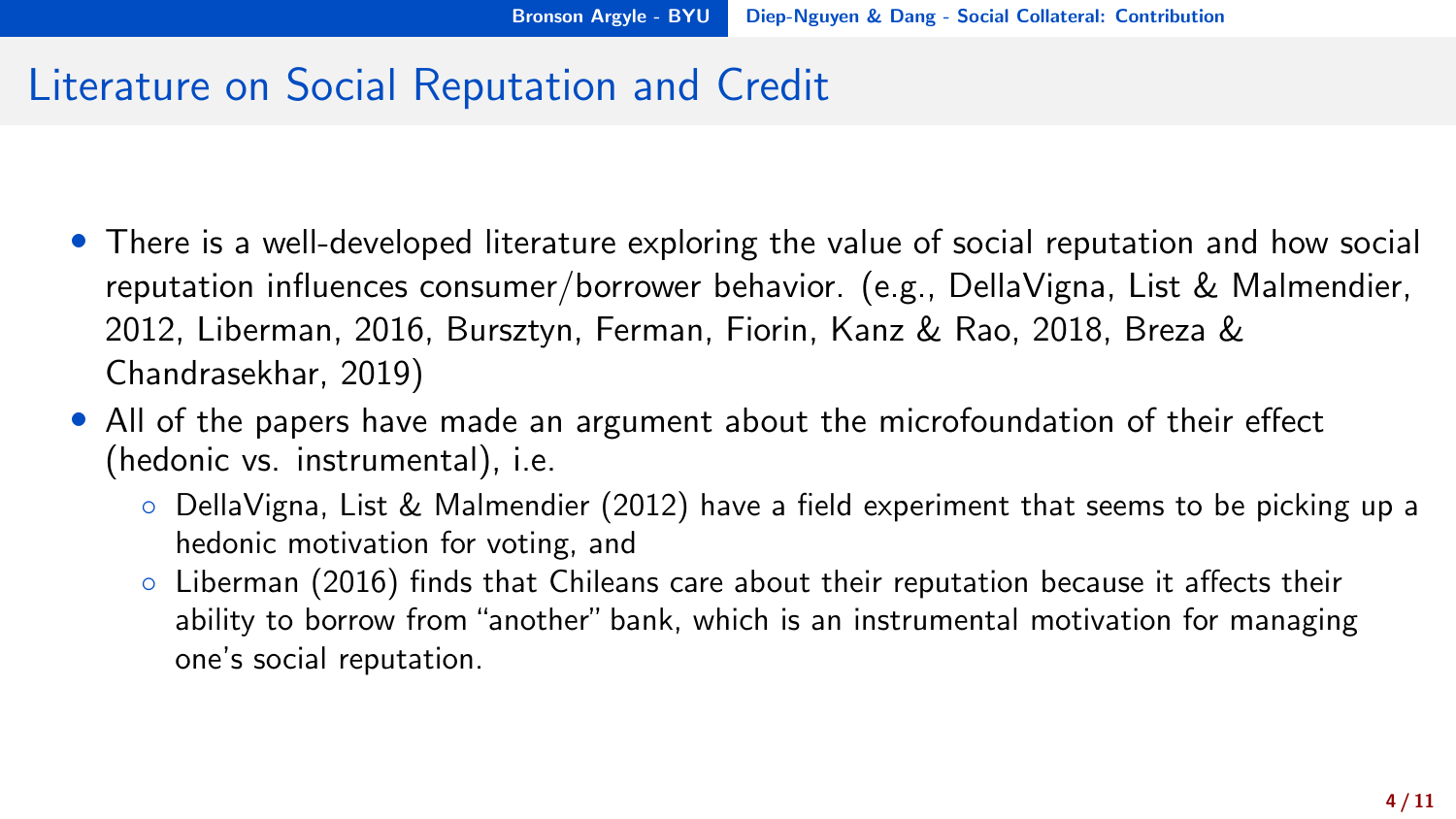#### <span id="page-3-0"></span>Literature on Social Reputation and Credit

- There is a well-developed literature exploring the value of social reputation and how social reputation influences consumer/borrower behavior. (e.g., DellaVigna, List & Malmendier, 2012, Liberman, 2016, Bursztyn, Ferman, Fiorin, Kanz & Rao, 2018, Breza & Chandrasekhar, 2019)
- All of the papers have made an argument about the microfoundation of their effect (hedonic vs. instrumental), i.e.
	- DellaVigna, List & Malmendier (2012) have a field experiment that seems to be picking up a hedonic motivation for voting, and
	- Liberman (2016) finds that Chileans care about their reputation because it affects their ability to borrow from "another" bank, which is an instrumental motivation for managing one's social reputation.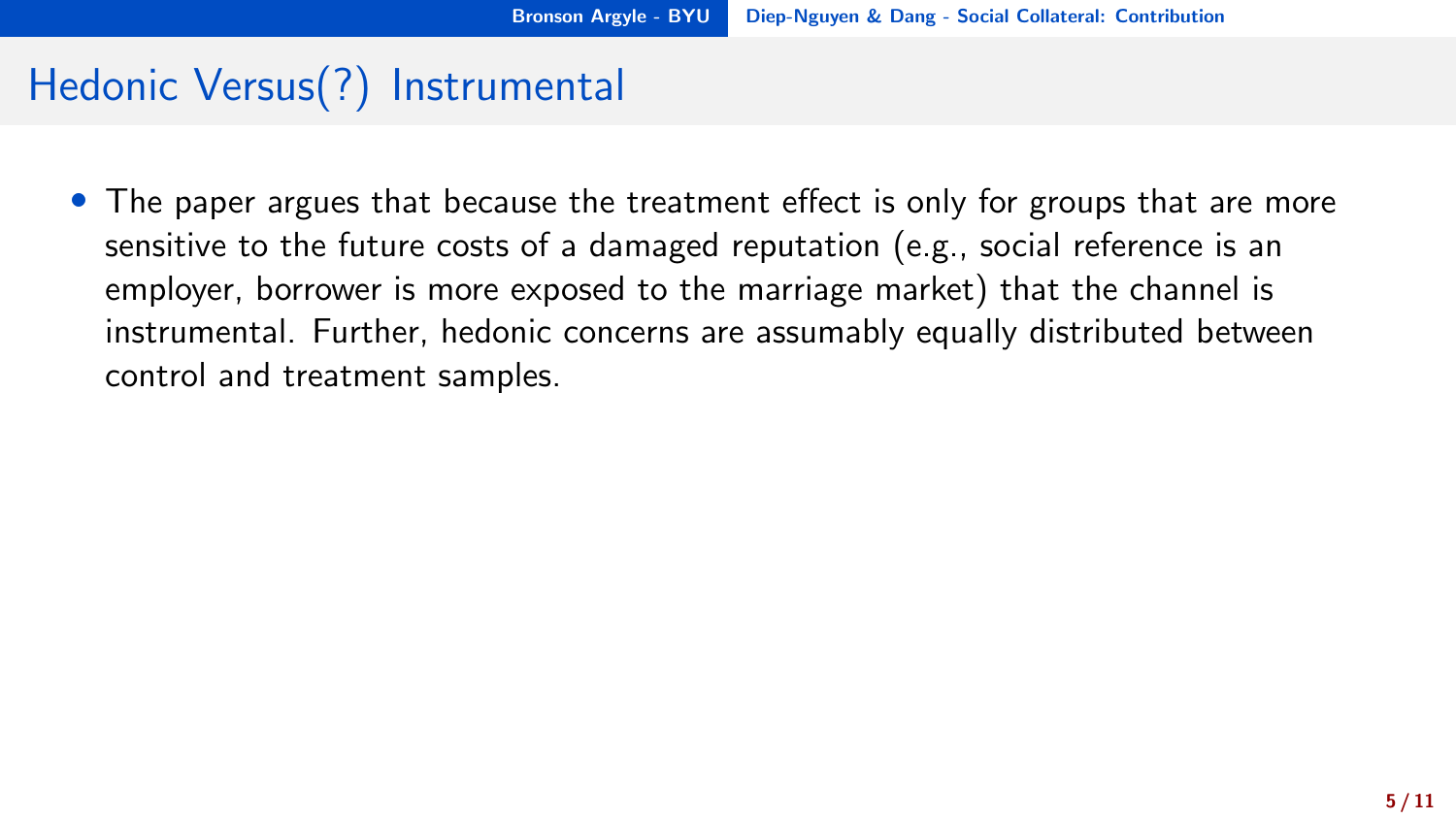#### Hedonic Versus(?) Instrumental

• The paper argues that because the treatment effect is only for groups that are more sensitive to the future costs of a damaged reputation (e.g., social reference is an employer, borrower is more exposed to the marriage market) that the channel is instrumental. Further, hedonic concerns are assumably equally distributed between control and treatment samples.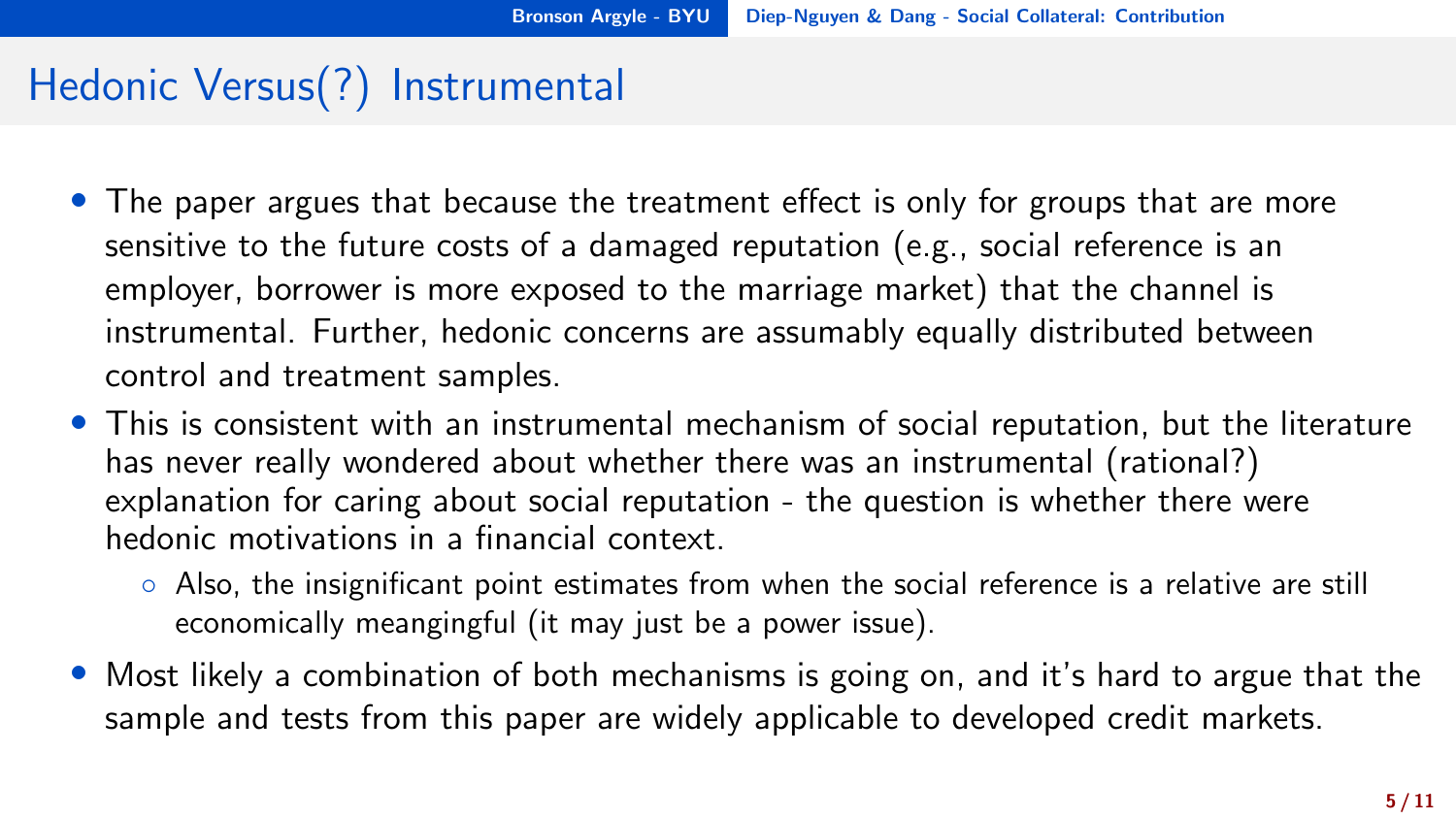### Hedonic Versus(?) Instrumental

- The paper argues that because the treatment effect is only for groups that are more sensitive to the future costs of a damaged reputation (e.g., social reference is an employer, borrower is more exposed to the marriage market) that the channel is instrumental. Further, hedonic concerns are assumably equally distributed between control and treatment samples.
- This is consistent with an instrumental mechanism of social reputation, but the literature has never really wondered about whether there was an instrumental (rational?) explanation for caring about social reputation - the question is whether there were hedonic motivations in a financial context.
	- Also, the insignificant point estimates from when the social reference is a relative are still economically meangingful (it may just be a power issue).
- Most likely a combination of both mechanisms is going on, and it's hard to argue that the sample and tests from this paper are widely applicable to developed credit markets.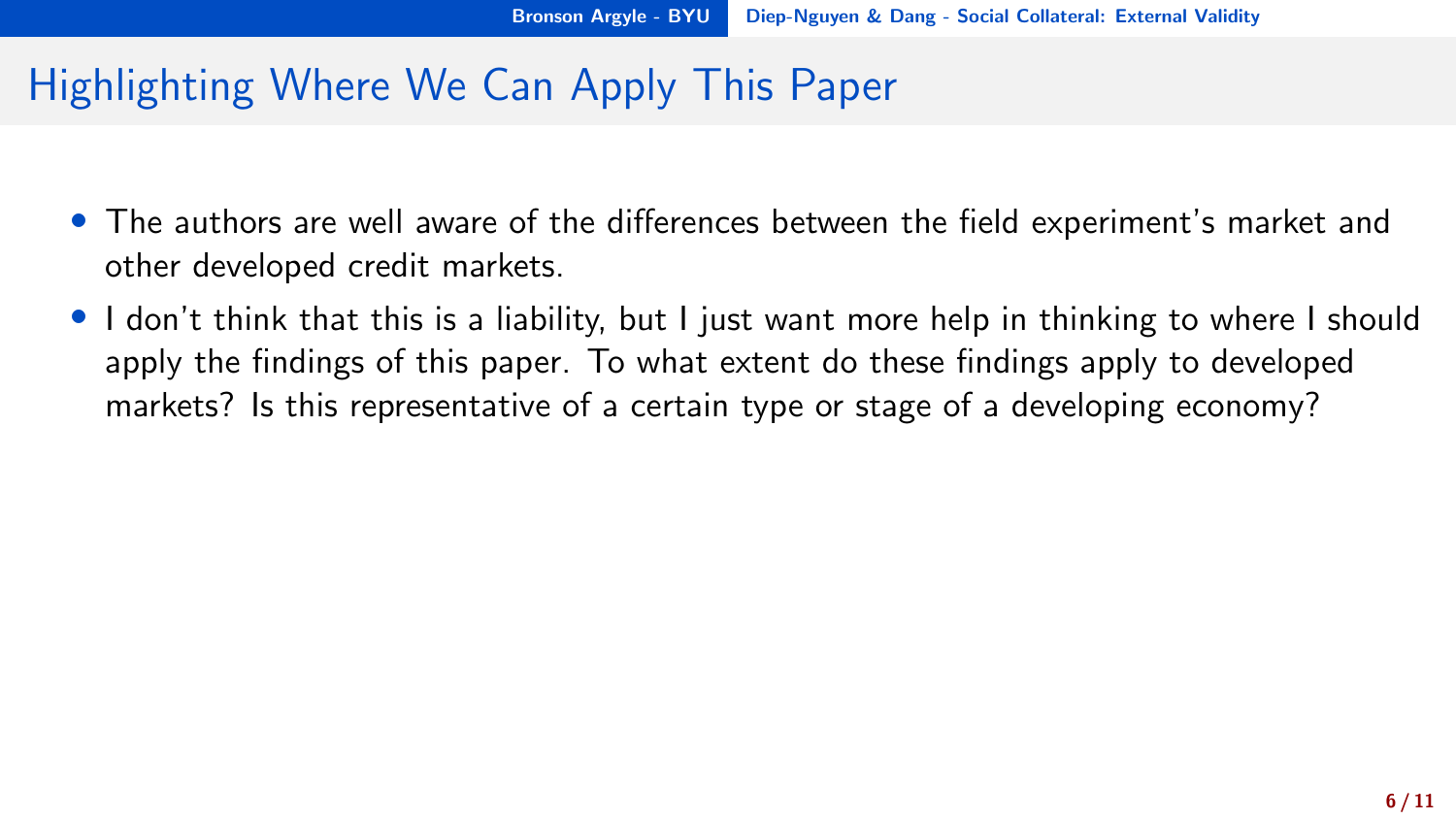### <span id="page-6-0"></span>Highlighting Where We Can Apply This Paper

- The authors are well aware of the differences between the field experiment's market and other developed credit markets.
- I don't think that this is a liability, but I just want more help in thinking to where I should apply the findings of this paper. To what extent do these findings apply to developed markets? Is this representative of a certain type or stage of a developing economy?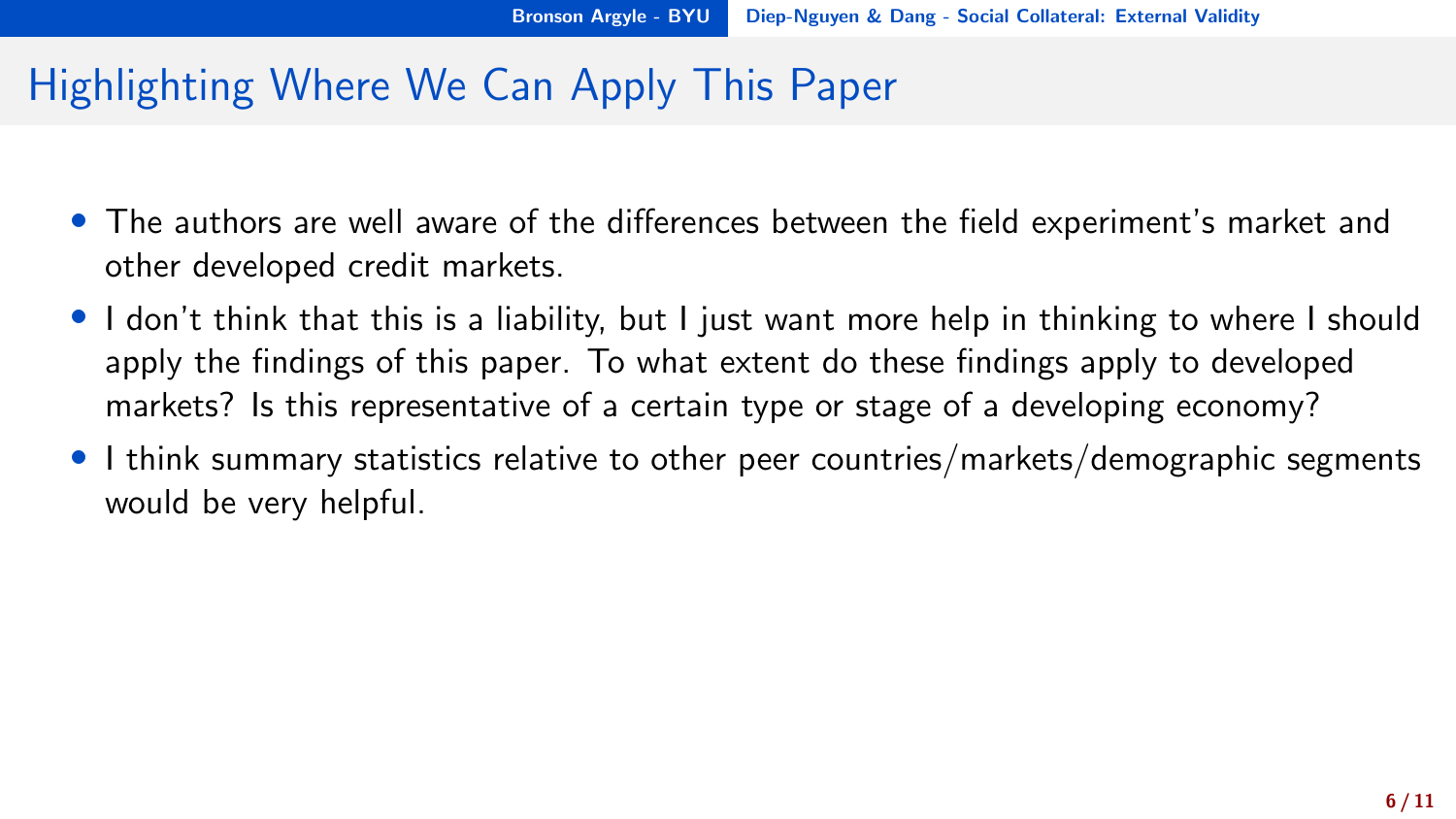### Highlighting Where We Can Apply This Paper

- The authors are well aware of the differences between the field experiment's market and other developed credit markets.
- I don't think that this is a liability, but I just want more help in thinking to where I should apply the findings of this paper. To what extent do these findings apply to developed markets? Is this representative of a certain type or stage of a developing economy?
- I think summary statistics relative to other peer countries/markets/demographic segments would be very helpful.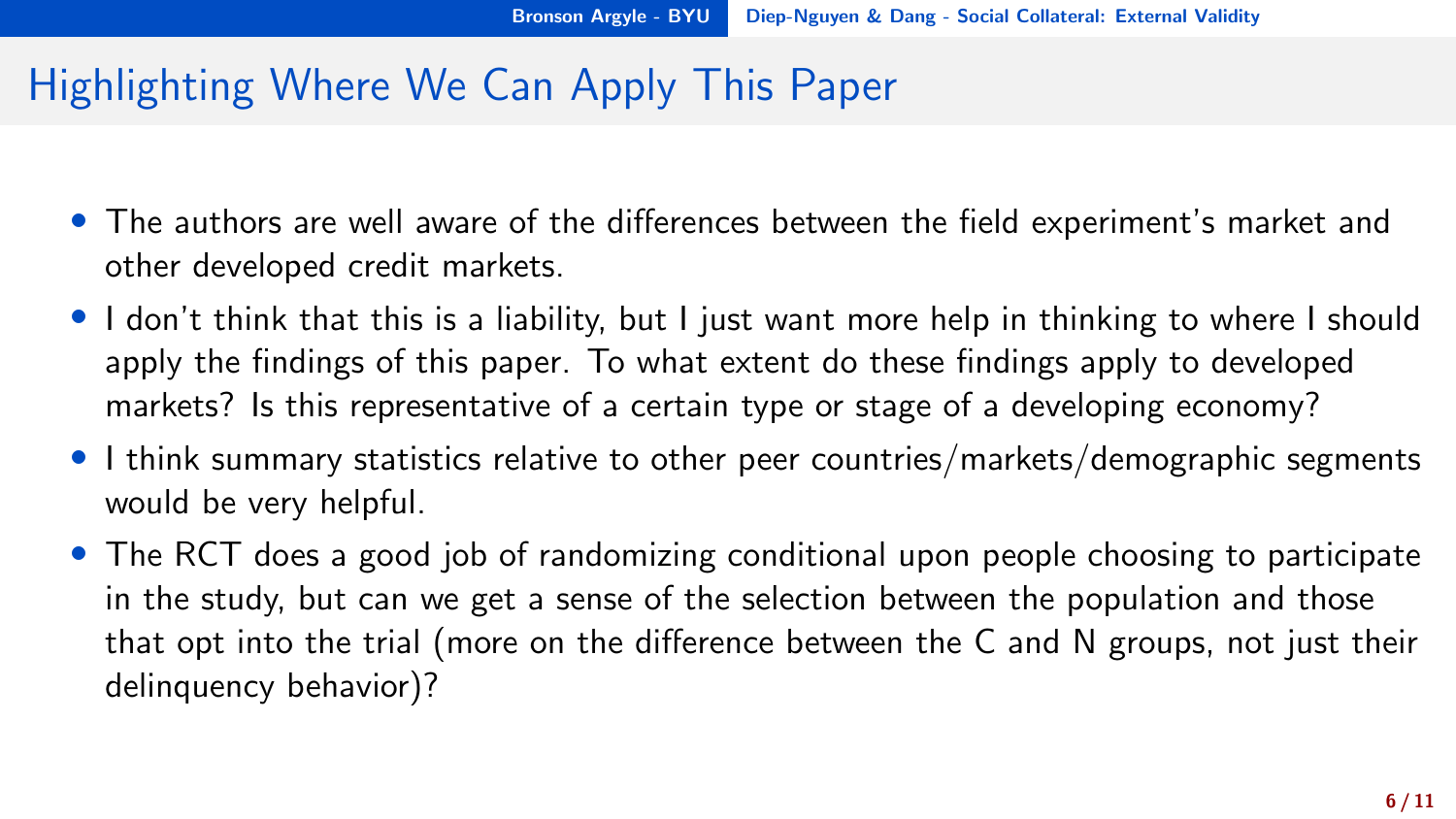# Highlighting Where We Can Apply This Paper

- The authors are well aware of the differences between the field experiment's market and other developed credit markets.
- I don't think that this is a liability, but I just want more help in thinking to where I should apply the findings of this paper. To what extent do these findings apply to developed markets? Is this representative of a certain type or stage of a developing economy?
- I think summary statistics relative to other peer countries/markets/demographic segments would be very helpful.
- The RCT does a good job of randomizing conditional upon people choosing to participate in the study, but can we get a sense of the selection between the population and those that opt into the trial (more on the difference between the C and N groups, not just their delinquency behavior)?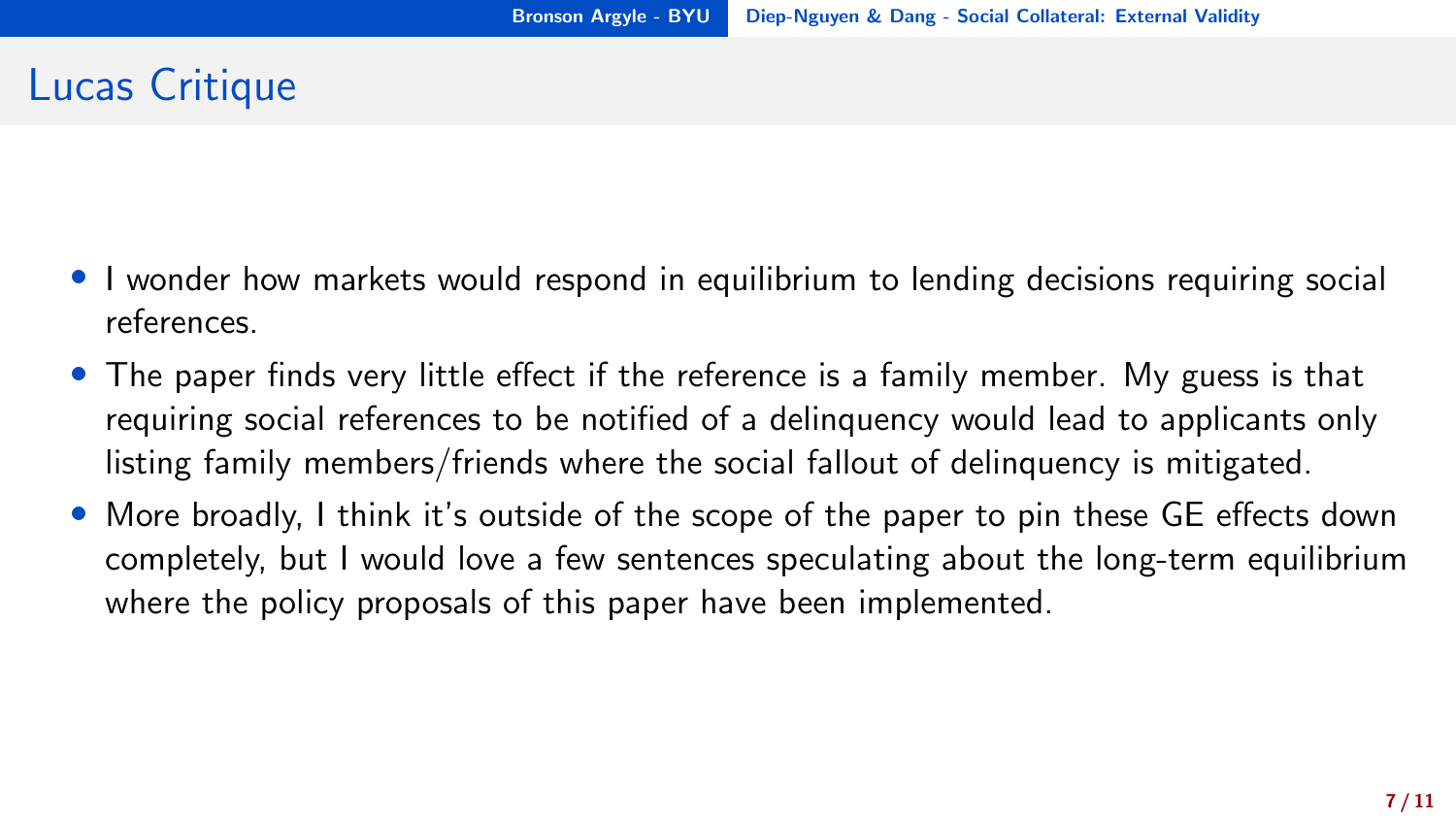# Lucas Critique

- I wonder how markets would respond in equilibrium to lending decisions requiring social references.
- The paper finds very little effect if the reference is a family member. My guess is that requiring social references to be notified of a delinquency would lead to applicants only listing family members/friends where the social fallout of delinquency is mitigated.
- More broadly, I think it's outside of the scope of the paper to pin these GE effects down completely, but I would love a few sentences speculating about the long-term equilibrium where the policy proposals of this paper have been implemented.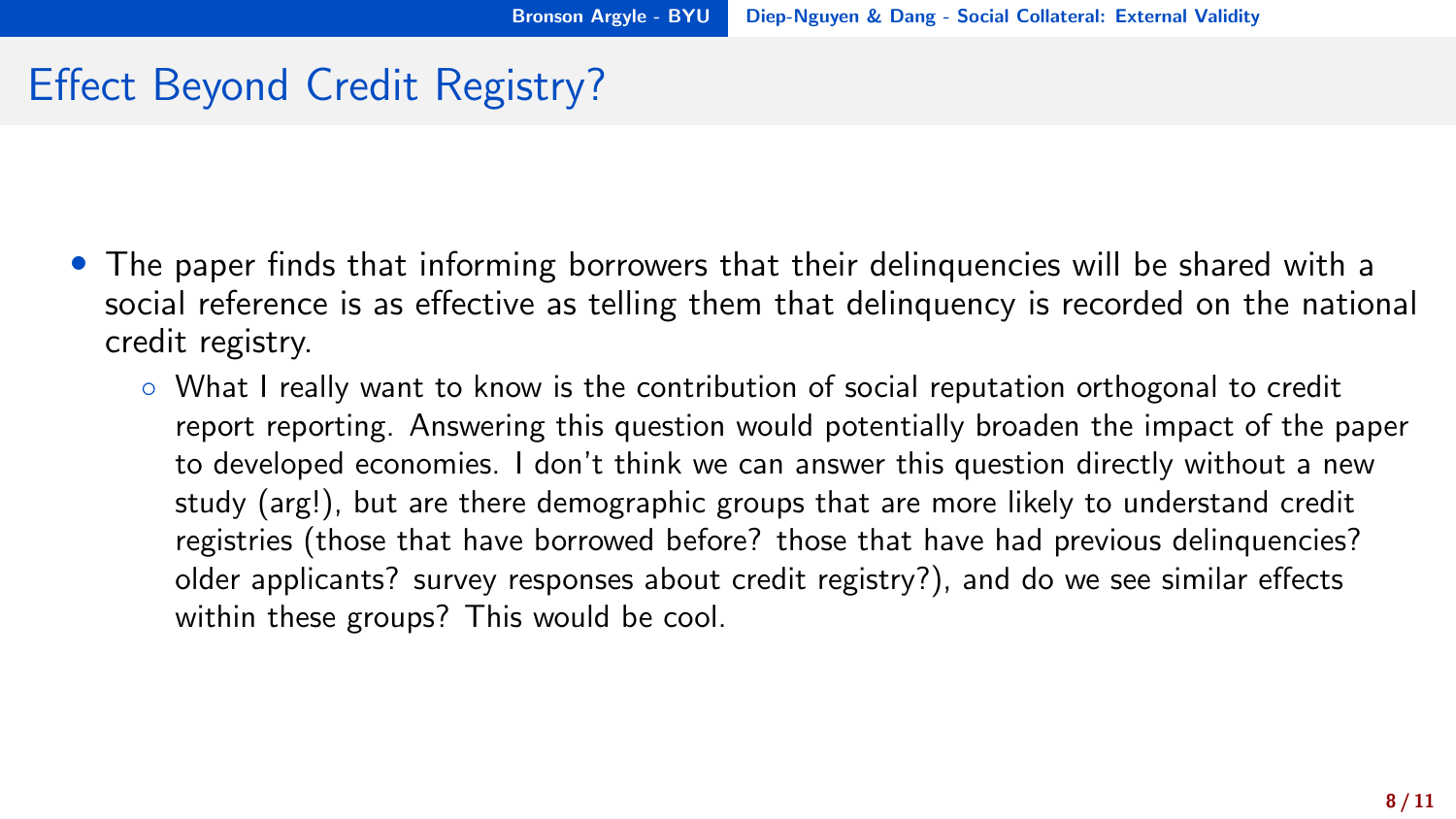# Effect Beyond Credit Registry?

- The paper finds that informing borrowers that their delinquencies will be shared with a social reference is as effective as telling them that delinquency is recorded on the national credit registry.
	- What I really want to know is the contribution of social reputation orthogonal to credit report reporting. Answering this question would potentially broaden the impact of the paper to developed economies. I don't think we can answer this question directly without a new study (arg!), but are there demographic groups that are more likely to understand credit registries (those that have borrowed before? those that have had previous delinquencies? older applicants? survey responses about credit registry?), and do we see similar effects within these groups? This would be cool.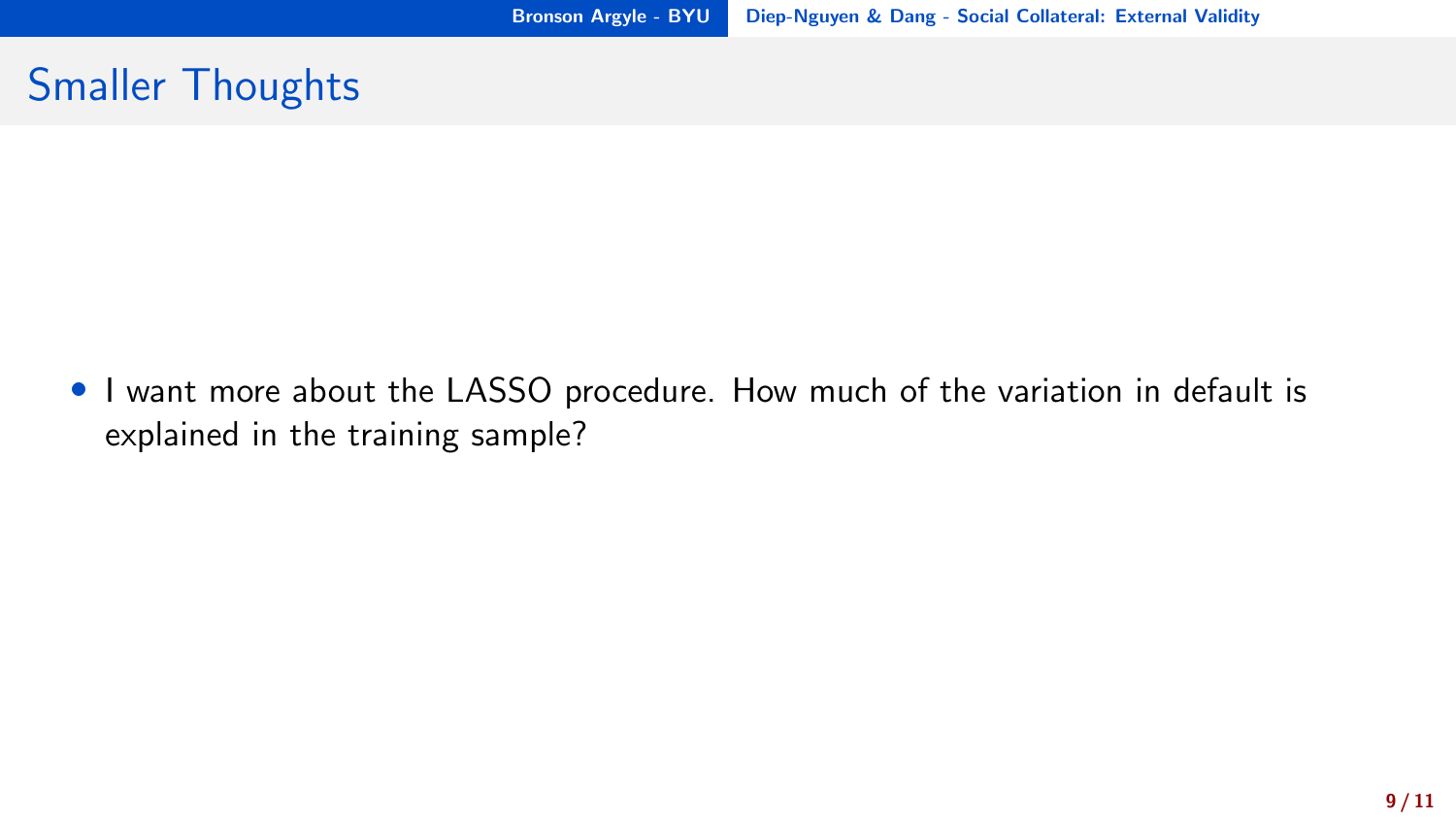### Smaller Thoughts

• I want more about the LASSO procedure. How much of the variation in default is explained in the training sample?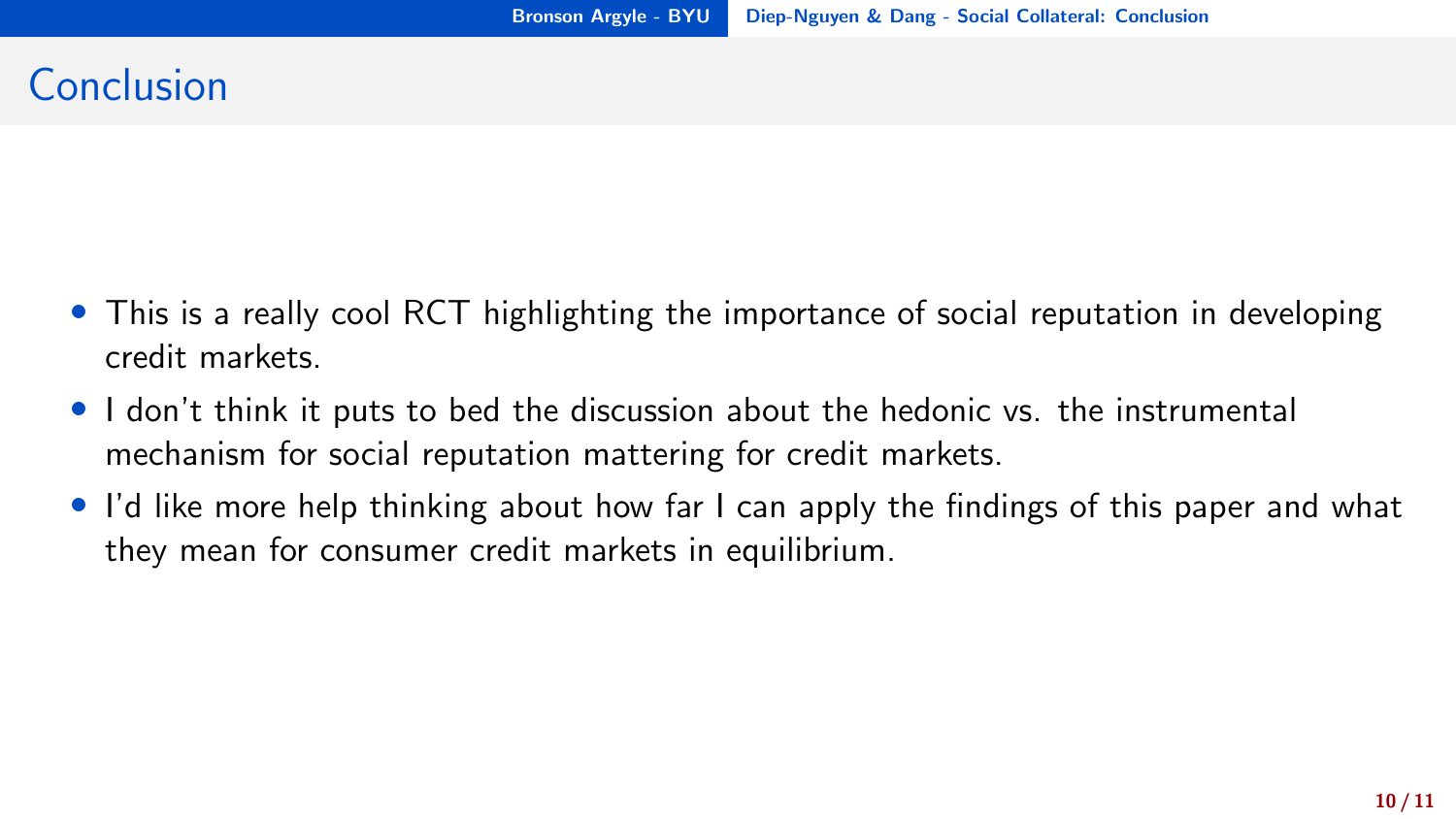# <span id="page-12-0"></span>Conclusion

- This is a really cool RCT highlighting the importance of social reputation in developing credit markets.
- I don't think it puts to bed the discussion about the hedonic vs. the instrumental mechanism for social reputation mattering for credit markets.
- I'd like more help thinking about how far I can apply the findings of this paper and what they mean for consumer credit markets in equilibrium.